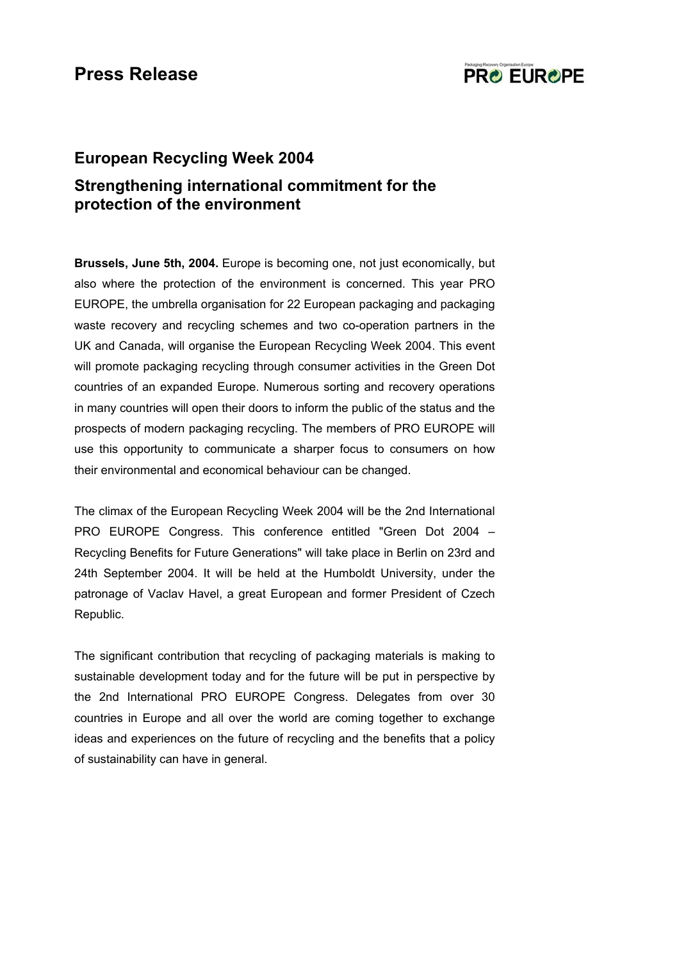# **PRO EUROPE**

## **European Recycling Week 2004 Strengthening international commitment for the protection of the environment**

**Brussels, June 5th, 2004.** Europe is becoming one, not just economically, but also where the protection of the environment is concerned. This year PRO EUROPE, the umbrella organisation for 22 European packaging and packaging waste recovery and recycling schemes and two co-operation partners in the UK and Canada, will organise the European Recycling Week 2004. This event will promote packaging recycling through consumer activities in the Green Dot countries of an expanded Europe. Numerous sorting and recovery operations in many countries will open their doors to inform the public of the status and the prospects of modern packaging recycling. The members of PRO EUROPE will use this opportunity to communicate a sharper focus to consumers on how their environmental and economical behaviour can be changed.

The climax of the European Recycling Week 2004 will be the 2nd International PRO EUROPE Congress. This conference entitled "Green Dot 2004 – Recycling Benefits for Future Generations" will take place in Berlin on 23rd and 24th September 2004. It will be held at the Humboldt University, under the patronage of Vaclav Havel, a great European and former President of Czech Republic.

The significant contribution that recycling of packaging materials is making to sustainable development today and for the future will be put in perspective by the 2nd International PRO EUROPE Congress. Delegates from over 30 countries in Europe and all over the world are coming together to exchange ideas and experiences on the future of recycling and the benefits that a policy of sustainability can have in general.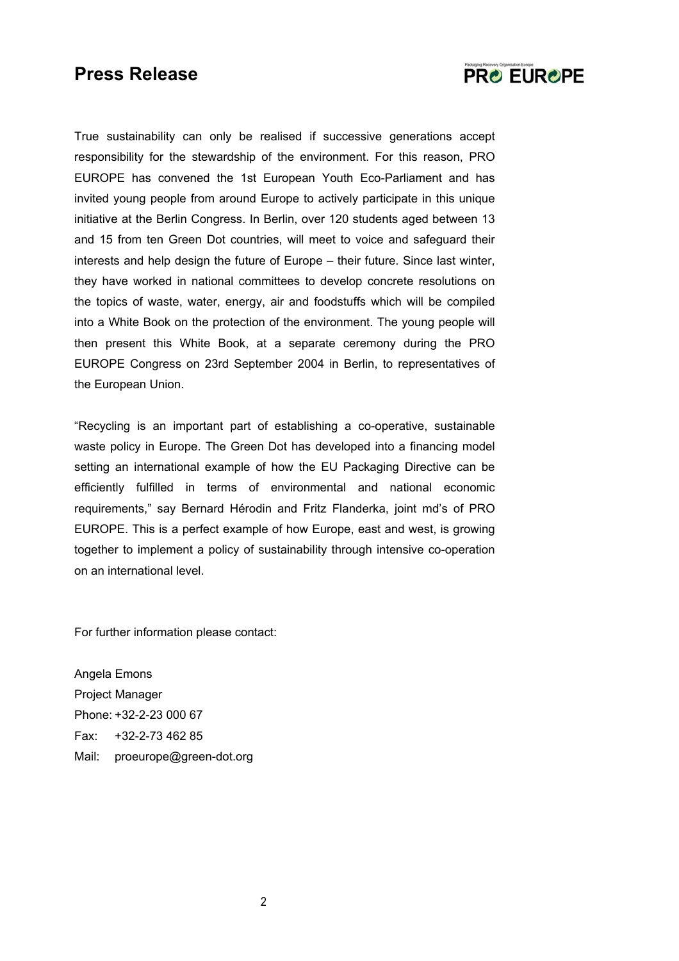#### **Press Release**

## **PRO EUROPE**

True sustainability can only be realised if successive generations accept responsibility for the stewardship of the environment. For this reason, PRO EUROPE has convened the 1st European Youth Eco-Parliament and has invited young people from around Europe to actively participate in this unique initiative at the Berlin Congress. In Berlin, over 120 students aged between 13 and 15 from ten Green Dot countries, will meet to voice and safeguard their interests and help design the future of Europe – their future. Since last winter, they have worked in national committees to develop concrete resolutions on the topics of waste, water, energy, air and foodstuffs which will be compiled into a White Book on the protection of the environment. The young people will then present this White Book, at a separate ceremony during the PRO EUROPE Congress on 23rd September 2004 in Berlin, to representatives of the European Union.

"Recycling is an important part of establishing a co-operative, sustainable waste policy in Europe. The Green Dot has developed into a financing model setting an international example of how the EU Packaging Directive can be efficiently fulfilled in terms of environmental and national economic requirements," say Bernard Hérodin and Fritz Flanderka, joint md's of PRO EUROPE. This is a perfect example of how Europe, east and west, is growing together to implement a policy of sustainability through intensive co-operation on an international level.

For further information please contact:

Angela Emons Project Manager Phone: +32-2-23 000 67 Fax: +32-2-73 462 85 Mail: proeurope@green-dot.org